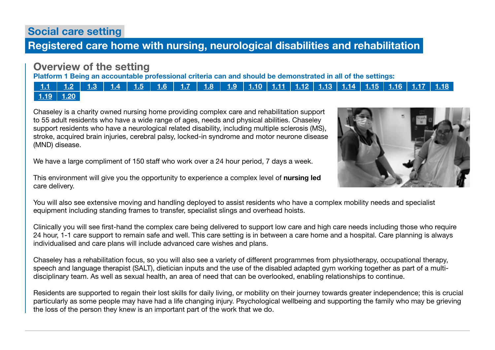## Social care setting

## Registered care home with nursing, neurological disabilities and rehabilitation

## Overview of the setting

Platform 1 Being an accountable professional criteria can and should be demonstrated in all of the settings:

<u>[1.1](https://www.skillsforcare.org.uk/Documents/Learning-and-development/Regulated-professionals/Registered-nurses/Future-nursing-proficiencies/future-nurse-proficiencies.pdf#page=8) | [1.2](https://www.skillsforcare.org.uk/Documents/Learning-and-development/Regulated-professionals/Registered-nurses/Future-nursing-proficiencies/future-nurse-proficiencies.pdf#page=8) | [1.3](https://www.skillsforcare.org.uk/Documents/Learning-and-development/Regulated-professionals/Registered-nurses/Future-nursing-proficiencies/future-nurse-proficiencies.pdf#page=8) | [1.4](https://www.skillsforcare.org.uk/Documents/Learning-and-development/Regulated-professionals/Registered-nurses/Future-nursing-proficiencies/future-nurse-proficiencies.pdf#page=8) | [1.5](https://www.skillsforcare.org.uk/Documents/Learning-and-development/Regulated-professionals/Registered-nurses/Future-nursing-proficiencies/future-nurse-proficiencies.pdf#page=8) | [1.6](https://www.skillsforcare.org.uk/Documents/Learning-and-development/Regulated-professionals/Registered-nurses/Future-nursing-proficiencies/future-nurse-proficiencies.pdf#page=8) | [1.7](https://www.skillsforcare.org.uk/Documents/Learning-and-development/Regulated-professionals/Registered-nurses/Future-nursing-proficiencies/future-nurse-proficiencies.pdf#page=8) | [1.8](https://www.skillsforcare.org.uk/Documents/Learning-and-development/Regulated-professionals/Registered-nurses/Future-nursing-proficiencies/future-nurse-proficiencies.pdf#page=8) | [1.9](https://www.skillsforcare.org.uk/Documents/Learning-and-development/Regulated-professionals/Registered-nurses/Future-nursing-proficiencies/future-nurse-proficiencies.pdf#page=8) | [1.10](https://www.skillsforcare.org.uk/Documents/Learning-and-development/Regulated-professionals/Registered-nurses/Future-nursing-proficiencies/future-nurse-proficiencies.pdf#page=9) | [1.11](https://www.skillsforcare.org.uk/Documents/Learning-and-development/Regulated-professionals/Registered-nurses/Future-nursing-proficiencies/future-nurse-proficiencies.pdf#page=9) | [1.12](https://www.skillsforcare.org.uk/Documents/Learning-and-development/Regulated-professionals/Registered-nurses/Future-nursing-proficiencies/future-nurse-proficiencies.pdf#page=9) | [1.13](https://www.skillsforcare.org.uk/Documents/Learning-and-development/Regulated-professionals/Registered-nurses/Future-nursing-proficiencies/future-nurse-proficiencies.pdf#page=9) | [1.14](https://www.skillsforcare.org.uk/Documents/Learning-and-development/Regulated-professionals/Registered-nurses/Future-nursing-proficiencies/future-nurse-proficiencies.pdf#page=9) | [1.15](https://www.skillsforcare.org.uk/Documents/Learning-and-development/Regulated-professionals/Registered-nurses/Future-nursing-proficiencies/future-nurse-proficiencies.pdf#page=9) | [1.16](https://www.skillsforcare.org.uk/Documents/Learning-and-development/Regulated-professionals/Registered-nurses/Future-nursing-proficiencies/future-nurse-proficiencies.pdf#page=9) | [1.17](https://www.skillsforcare.org.uk/Documents/Learning-and-development/Regulated-professionals/Registered-nurses/Future-nursing-proficiencies/future-nurse-proficiencies.pdf#page=9)</u>  $1.19$  [1.20](https://www.skillsforcare.org.uk/Documents/Learning-and-development/Regulated-professionals/Registered-nurses/Future-nursing-proficiencies/future-nurse-proficiencies.pdf#page=9)

Chaseley is a charity owned nursing home providing complex care and rehabilitation support to 55 adult residents who have a wide range of ages, needs and physical abilities. Chaseley support residents who have a neurological related disability, including multiple sclerosis (MS), stroke, acquired brain injuries, cerebral palsy, locked-in syndrome and motor neurone disease (MND) disease.

We have a large compliment of 150 staff who work over a 24 hour period, 7 days a week.

This environment will give you the opportunity to experience a complex level of **nursing led** care delivery.

You will also see extensive moving and handling deployed to assist residents who have a complex mobility needs and specialist equipment including standing frames to transfer, specialist slings and overhead hoists.

Clinically you will see first-hand the complex care being delivered to support low care and high care needs including those who require 24 hour, 1-1 care support to remain safe and well. This care setting is in between a care home and a hospital. Care planning is always individualised and care plans will include advanced care wishes and plans.

Chaseley has a rehabilitation focus, so you will also see a variety of different programmes from physiotherapy, occupational therapy, speech and language therapist (SALT), dietician inputs and the use of the disabled adapted gym working together as part of a multidisciplinary team. As well as sexual health, an area of need that can be overlooked, enabling relationships to continue.

Residents are supported to regain their lost skills for daily living, or mobility on their journey towards greater independence; this is crucial particularly as some people may have had a life changing injury. Psychological wellbeing and supporting the family who may be grieving the loss of the person they knew is an important part of the work that we do.

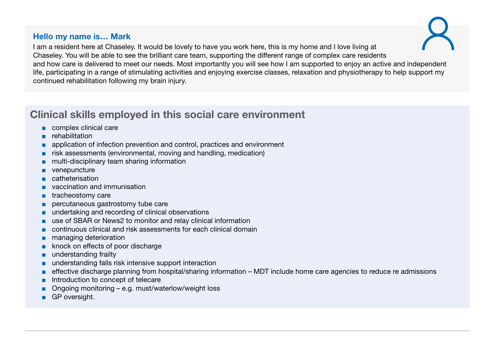### Hello my name is… Mark

I am a resident here at Chaseley. It would be lovely to have you work here, this is my home and I love living at Chaseley. You will be able to see the brilliant care team, supporting the different range of complex care residents and how care is delivered to meet our needs. Most importantly you will see how I am supported to enjoy an active and independent life, participating in a range of stimulating activities and enjoying exercise classes, relaxation and physiotherapy to help support my continued rehabilitation following my brain injury.

# Clinical skills employed in this social care environment

- complex clinical care
- rehabilitation
- application of infection prevention and control, practices and environment
- risk assessments (environmental, moving and handling, medication)
- multi-disciplinary team sharing information
- venepuncture
- **catheterisation**
- vaccination and immunisation
- tracheostomy care
- percutaneous gastrostomy tube care
- undertaking and recording of clinical observations
- use of SBAR or News2 to monitor and relay clinical information
- continuous clinical and risk assessments for each clinical domain
- managing deterioration
- knock on effects of poor discharge
- understanding frailty
- understanding falls risk intensive support interaction
- effective discharge planning from hospital/sharing information MDT include home care agencies to reduce re admissions
- Introduction to concept of telecare
- Ongoing monitoring  $-$  e.g. must/waterlow/weight loss
- GP oversight.

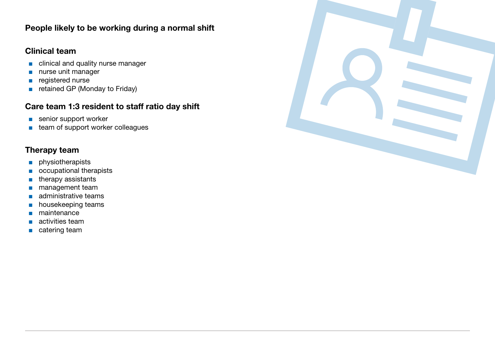### People likely to be working during a normal shift

## Clinical team

- clinical and quality nurse manager
- nurse unit manager
- registered nurse
- retained GP (Monday to Friday)

## Care team 1:3 resident to staff ratio day shift

- senior support worker
- team of support worker colleagues

## Therapy team

- physiotherapists
- occupational therapists
- therapy assistants
- management team
- administrative teams
- housekeeping teams
- maintenance
- activities team
- catering team

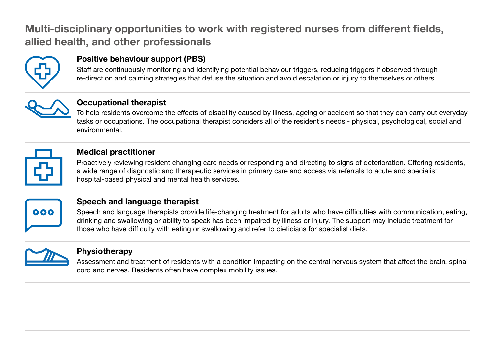# Multi-disciplinary opportunities to work with registered nurses from different fields, allied health, and other professionals



## Positive behaviour support (PBS)

Staff are continuously monitoring and identifying potential behaviour triggers, reducing triggers if observed through re-direction and calming strategies that defuse the situation and avoid escalation or injury to themselves or others.



## Occupational therapist

To help residents overcome the effects of disability caused by illness, ageing or accident so that they can carry out everyday tasks or occupations. The occupational therapist considers all of the resident's needs - physical, psychological, social and environmental.



## Medical practitioner

Proactively reviewing resident changing care needs or responding and directing to signs of deterioration. Offering residents, a wide range of diagnostic and therapeutic services in primary care and access via referrals to acute and specialist hospital-based physical and mental health services.



## Speech and language therapist

Speech and language therapists provide life-changing treatment for adults who have difficulties with communication, eating, drinking and swallowing or ability to speak has been impaired by illness or injury. The support may include treatment for those who have difficulty with eating or swallowing and refer to dieticians for specialist diets.



### **Physiotherapy**

Assessment and treatment of residents with a condition impacting on the central nervous system that affect the brain, spinal cord and nerves. Residents often have complex mobility issues.